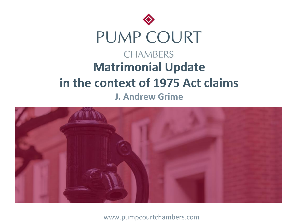



www.pumpcourtchambers.com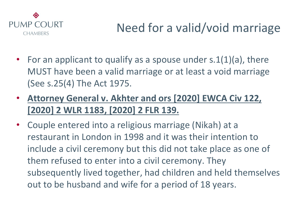

- For an applicant to qualify as a spouse under  $s.1(1)(a)$ , there MUST have been a valid marriage or at least a void marriage (See s.25(4) The Act 1975.
- **Attorney General v. Akhter and ors [2020] EWCA Civ 122, [2020] 2 WLR 1183, [2020] 2 FLR 139.**
- Couple entered into a religious marriage (Nikah) at a restaurant in London in 1998 and it was their intention to include a civil ceremony but this did not take place as one of them refused to enter into a civil ceremony. They subsequently lived together, had children and held themselves out to be husband and wife for a period of 18 years.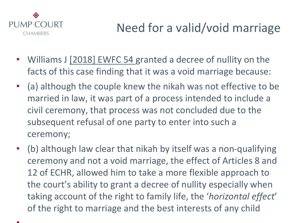

- Williams J [2018] EWFC 54 granted a decree of nullity on the facts of this case finding that it was a void marriage because:
- (a) although the couple knew the nikah was not effective to be married in law, it was part of a process intended to include a civil ceremony, that process was not concluded due to the subsequent refusal of one party to enter into such a ceremony;
- (b) although law clear that nikah by itself was a non-qualifying ceremony and not a void marriage, the effect of Articles 8 and 12 of ECHR, allowed him to take a more flexible approach to the court's ability to grant a decree of nullity especially when taking account of the right to family life, the '*horizontal effect*' of the right to marriage and the best interests of any child

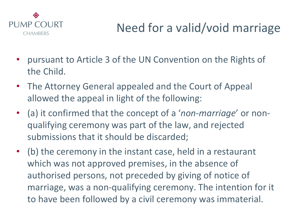

- pursuant to Article 3 of the UN Convention on the Rights of the Child.
- The Attorney General appealed and the Court of Appeal allowed the appeal in light of the following:
- (a) it confirmed that the concept of a '*non-marriage*' or nonqualifying ceremony was part of the law, and rejected submissions that it should be discarded;
- (b) the ceremony in the instant case, held in a restaurant which was not approved premises, in the absence of authorised persons, not preceded by giving of notice of marriage, was a non-qualifying ceremony. The intention for it to have been followed by a civil ceremony was immaterial.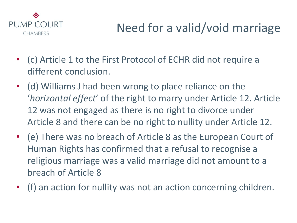

- (c) Article 1 to the First Protocol of ECHR did not require a different conclusion.
- (d) Williams J had been wrong to place reliance on the '*horizontal effect*' of the right to marry under Article 12. Article 12 was not engaged as there is no right to divorce under Article 8 and there can be no right to nullity under Article 12.
- (e) There was no breach of Article 8 as the European Court of Human Rights has confirmed that a refusal to recognise a religious marriage was a valid marriage did not amount to a breach of Article 8
- (f) an action for nullity was not an action concerning children.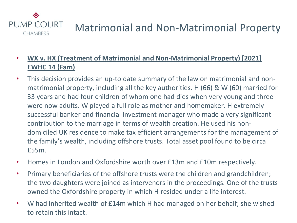

- **WX v. HX (Treatment of Matrimonial and Non-Matrimonial Property) [2021] EWHC 14 (Fam)**
- This decision provides an up-to date summary of the law on matrimonial and nonmatrimonial property, including all the key authorities. H (66) & W (60) married for 33 years and had four children of whom one had dies when very young and three were now adults. W played a full role as mother and homemaker. H extremely successful banker and financial investment manager who made a very significant contribution to the marriage in terms of wealth creation. He used his nondomiciled UK residence to make tax efficient arrangements for the management of the family's wealth, including offshore trusts. Total asset pool found to be circa £55m.
- Homes in London and Oxfordshire worth over £13m and £10m respectively.
- Primary beneficiaries of the offshore trusts were the children and grandchildren; the two daughters were joined as intervenors in the proceedings. One of the trusts owned the Oxfordshire property in which H resided under a life interest.
- W had inherited wealth of £14m which H had managed on her behalf; she wished to retain this intact.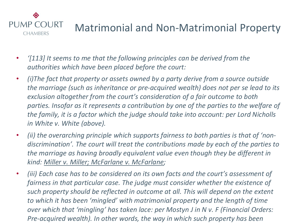

- *'[113] It seems to me that the following principles can be derived from the authorities which have been placed before the court:*
- *(i)The fact that property or assets owned by a party derive from a source outside the marriage (such as inheritance or pre-acquired wealth) does not per se lead to its exclusion altogether from the court's consideration of a fair outcome to both*  parties. Insofar as it represents a contribution by one of the parties to the welfare of *the family, it is a factor which the judge should take into account: per Lord Nicholls in White v. White (above).*
- *(ii) the overarching principle which supports fairness to both parties is that of 'nondiscrimination'. The court will treat the contributions made by each of the parties to the marriage as having broadly equivalent value even though they be different in kind: Miller v. Miller; McFarlane v. McFarlane;*
- *(iii) Each case has to be considered on its own facts and the court's assessment of fairness in that particular case. The judge must consider whether the existence of such property should be reflected in outcome at all. This will depend on the extent to which it has been 'mingled' with matrimonial property and the length of time over which that 'mingling' has taken lace: per Mostyn J in N v. F (Financial Orders: Pre-acquired wealth). In other words, the way in which such property has been*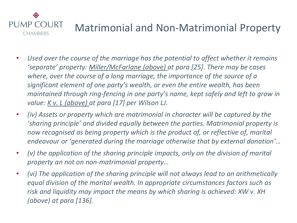

- *Used over the course of the marriage has the potential to affect whether it remains 'separate' property: Miller/McFarlane (above) at para [25]. There may be cases where, over the course of a long marriage, the importance of the source of a significant element of one party's wealth, or even the entire wealth, has been maintained through ring-fencing in one party's name, kept safely and left to grow in value: K v. L (above) at para [17] per Wilson LJ.*
- *(iv) Assets or property which are matrimonial in character will be captured by the 'sharing principle' and divided equally between the parties. Matrimonial property is now recognised as being property which is the product of, or reflective of, marital endeavour or 'generated during the marriage otherwise that by external donation'…*
- *(v) the application of the sharing principle impacts, only on the division of marital property an not on non-matrimonial property…*
- *(vi) The application of the sharing principle will not always lead to an arithmetically equal division of the marital wealth. In appropriate circumstances factors such as risk and liquidity may impact the means by which sharing is achieved: XW v. XH (above) at para [136].*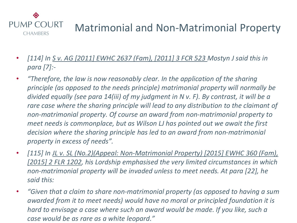

- *[114] In <u>S v. AG [2011] EWHC 2637 (Fam), [2011] 3 FCR 523</u> Mostyn J said this in para [7]:-*
- *"Therefore, the law is now reasonably clear. In the application of the sharing principle (as opposed to the needs principle) matrimonial property will normally be divided equally (see para 14(iii) of my judgment in N v. F). By contrast, it will be a rare case where the sharing principle will lead to any distribution to the claimant of non-matrimonial property. Of course an award from non-matrimonial property to meet needs is commonplace, but as Wilson LJ has pointed out we await the first decision where the sharing principle has led to an award from non-matrimonial property in excess of needs".*
- *[115] In JL v. SL (No.2)(Appeal: Non-Matrimonial Property) [2015] EWHC 360 (Fam), [2015] 2 FLR 1202, his Lordship emphasised the very limited circumstances in which non-matrimonial property will be invaded unless to meet needs. At para [22], he said this:*
- *"Given that a claim to share non-matrimonial property (as opposed to having a sum awarded from it to meet needs) would have no moral or principled foundation it is hard to envisage a case where such an award would be made. If you like, such a case would be as rare as a white leopard."*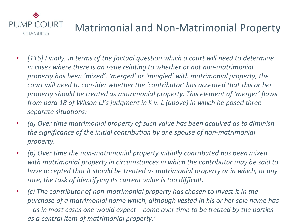

- *[116] Finally, in terms of the factual question which a court will need to determine in cases where there is an issue relating to whether or not non-matrimonial property has been 'mixed', 'merged' or 'mingled' with matrimonial property, the court will need to consider whether the 'contributor' has accepted that this or her property should be treated as matrimonial property. This element of 'merger' flows from para 18 of Wilson LJ's judgment in K v. L (above) in which he posed three separate situations:-*
- *(a) Over time matrimonial property of such value has been acquired as to diminish the significance of the initial contribution by one spouse of non-matrimonial property.*
- *(b) Over time the non-matrimonial property initially contributed has been mixed with matrimonial property in circumstances in which the contributor may be said to have accepted that it should be treated as matrimonial property or in which, at any rate, the task of identifying its current value is too difficult.*
- *(c) The contributor of non-matrimonial property has chosen to invest it in the purchase of a matrimonial home which, although vested in his or her sole name has – as in most cases one would expect – come over time to be treated by the parties as a central item of matrimonial property.'*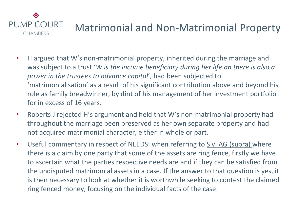

- H argued that W's non-matrimonial property, inherited during the marriage and was subject to a trust '*W is the income beneficiary during her life an there is also a power in the trustees to advance capital*', had been subjected to 'matrimonialisation' as a result of his significant contribution above and beyond his role as family breadwinner, by dint of his management of her investment portfolio for in excess of 16 years.
- Roberts J rejected H's argument and held that W's non-matrimonial property had throughout the marriage been preserved as her own separate property and had not acquired matrimonial character, either in whole or part.
- Useful commentary in respect of NEEDS: when referring to S v. AG (supra) where there is a claim by one party that some of the assets are ring fence, firstly we have to ascertain what the parties respective needs are and if they can be satisfied from the undisputed matrimonial assets in a case. If the answer to that question is yes, it is then necessary to look at whether it is worthwhile seeking to contest the claimed ring fenced money, focusing on the individual facts of the case.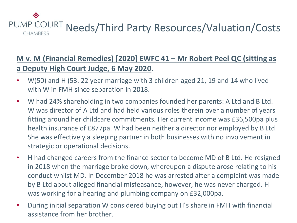

### **M v. M (Financial Remedies) [2020] EWFC 41 – Mr Robert Peel QC (sitting as a Deputy High Court Judge, 6 May 2020**.

- W(50) and H (53. 22 year marriage with 3 children aged 21, 19 and 14 who lived with W in FMH since separation in 2018.
- W had 24% shareholding in two companies founded her parents: A Ltd and B Ltd. W was director of A Ltd and had held various roles therein over a number of years fitting around her childcare commitments. Her current income was £36,500pa plus health insurance of £877pa. W had been neither a director nor employed by B Ltd. She was effectively a sleeping partner in both businesses with no involvement in strategic or operational decisions.
- H had changed careers from the finance sector to become MD of B Ltd. He resigned in 2018 when the marriage broke down, whereupon a dispute arose relating to his conduct whilst MD. In December 2018 he was arrested after a complaint was made by B Ltd about alleged financial misfeasance, however, he was never charged. H was working for a hearing and plumbing company on £32,000pa.
- During initial separation W considered buying out H's share in FMH with financial assistance from her brother.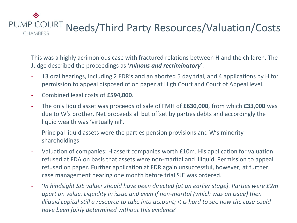

This was a highly acrimonious case with fractured relations between H and the children. The Judge described the proceedings as '*ruinous and recriminatory*'.

- 13 oral hearings, including 2 FDR's and an aborted 5 day trial, and 4 applications by H for permission to appeal disposed of on paper at High Court and Court of Appeal level.
- Combined legal costs of **£594,000**.
- The only liquid asset was proceeds of sale of FMH of **£630,000**, from which **£33,000** was due to W's brother. Net proceeds all but offset by parties debts and accordingly the liquid wealth was 'virtually nil'.
- Principal liquid assets were the parties pension provisions and W's minority shareholdings.
- Valuation of companies: H assert companies worth £10m. His application for valuation refused at FDA on basis that assets were non-marital and illiquid. Permission to appeal refused on paper. Further application at FDR again unsuccessful, however, at further case management hearing one month before trial SJE was ordered.
- '*In hindsight SJE valuer should have been directed [at an earlier stage]. Parties were £2m apart on value. Liquidity in issue and even if non-marital (which was an issue) then illiquid capital still a resource to take into account; it is hard to see how the case could have been fairly determined without this evidence*'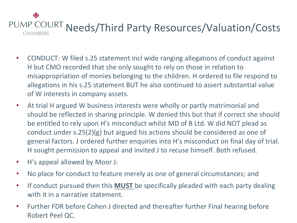- CONDUCT: W filed s.25 statement incl wide ranging allegations of conduct against H but CMO recorded that she only sought to rely on those in relation to misappropriation of monies belonging to the children. H ordered to file respond to allegations in his s.25 statement BUT he also continued to assert substantial value of W interests in company assets.
- At trial H argued W business interests were wholly or partly matrimonial and should be reflected in sharing principle. W denied this but that if correct she should be entitled to rely upon H's misconduct whilst MD of B Ltd. W did NOT plead as conduct under s.25(2)(g) but argued his actions should be considered as one of general factors. J ordered further enquiries into H's misconduct on final day of trial. H sought permission to appeal and invited J to recuse himself. Both refused.
- H's appeal allowed by Moor J:
- No place for conduct to feature merely as one of general circumstances; and
- If conduct pursued then this **MUST** be specifically pleaded with each party dealing with it in a narrative statement.
- Further FDR before Cohen J directed and thereafter further Final hearing before Robert Peel QC.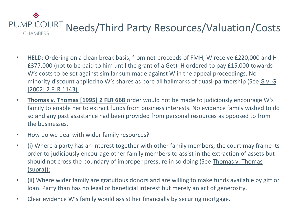- HELD: Ordering on a clean break basis, from net proceeds of FMH, W receive £220,000 and H £377,000 (not to be paid to him until the grant of a Get). H ordered to pay £15,000 towards W's costs to be set against similar sum made against W in the appeal proceedings. No minority discount applied to W's shares as bore all hallmarks of quasi-partnership (See G v. G [2002] 2 FLR 1143).
- **Thomas v. Thomas [1995] 2 FLR 668** order would not be made to judiciously encourage W's family to enable her to extract funds from business interests. No evidence family wished to do so and any past assistance had been provided from personal resources as opposed to from the businesses.
- How do we deal with wider family resources?
- (i) Where a party has an interest together with other family members, the court may frame its order to judiciously encourage other family members to assist in the extraction of assets but should not cross the boundary of improper pressure in so doing (See Thomas v. Thomas (supra));
- (ii) Where wider family are gratuitous donors and are willing to make funds available by gift or loan. Party than has no legal or beneficial interest but merely an act of generosity.
- Clear evidence W's family would assist her financially by securing mortgage.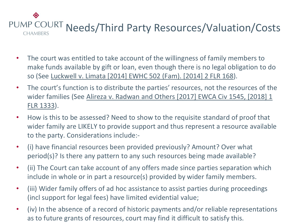- The court was entitled to take account of the willingness of family members to make funds available by gift or loan, even though there is no legal obligation to do so (See Luckwell v. Limata [2014] EWHC 502 (Fam). [2014] 2 FLR 168).
- The court's function is to distribute the parties' resources, not the resources of the wider families (See Alireza v. Radwan and Others [2017] EWCA Civ 1545, [2018] 1 FLR 1333).
- How is this to be assessed? Need to show to the requisite standard of proof that wider family are LIKELY to provide support and thus represent a resource available to the party. Considerations include:-
- (i) have financial resources been provided previously? Amount? Over what period(s)? Is there any pattern to any such resources being made available?
- (ii) The Court can take account of any offers made since parties separation which include in whole or in part a resource(s) provided by wider family members.
- (iii) Wider family offers of ad hoc assistance to assist parties during proceedings (incl support for legal fees) have limited evidential value;
- (iv) In the absence of a record of historic payments and/or reliable representations as to future grants of resources, court may find it difficult to satisfy this.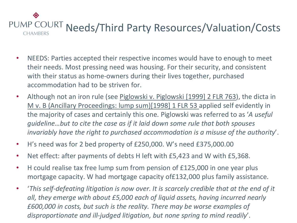- NEEDS: Parties accepted their respective incomes would have to enough to meet their needs. Most pressing need was housing. For their security, and consistent with their status as home-owners during their lives together, purchased accommodation had to be striven for.
- Although not an iron rule (see Piglowski v. Piglowski [1999] 2 FLR 763), the dicta in M v. B (Ancillary Proceedings: lump sum)[1998] 1 FLR 53 applied self evidently in the majority of cases and certainly this one. Piglowski was referred to as '*A useful guideline…but to cite the case as if it laid down some rule that both spouses invariably have the right to purchased accommodation is a misuse of the authority*'.
- H's need was for 2 bed property of £250,000. W's need £375,000.00
- Net effect: after payments of debts H left with £5,423 and W with £5,368.
- H could realise tax free lump sum from pension of £125,000 in one year plus mortgage capacity. W had mortgage capacity of£132,000 plus family assistance.
- '*This self-defeating litigation is now over. It is scarcely credible that at the end of it all, they emerge with about £5,000 each of liquid assets, having incurred nearly £600,000 in costs, but such is the reality. There may be worse examples of disproportionate and ill-judged litigation, but none spring to mind readily*'.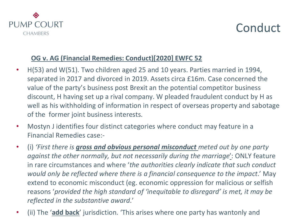

### **Conduct**

#### **OG v. AG (Financial Remedies: Conduct)[2020] EWFC 52**

- H(53) and W(51). Two children aged 25 and 10 years. Parties married in 1994, separated in 2017 and divorced in 2019. Assets circa £16m. Case concerned the value of the party's business post Brexit an the potential competitor business discount, H having set up a rival company. W pleaded fraudulent conduct by H as well as his withholding of information in respect of overseas property and sabotage of the former joint business interests.
- Mostyn J identifies four distinct categories where conduct may feature in a Financial Remedies case:-
- (i) *'First there is gross and obvious personal misconduct meted out by one party against the other normally, but not necessarily during the marriage*': ONLY feature in rare circumstances and where '*the authorities clearly indicate that such conduct would only be reflected where there is a financial consequence to the impact*.' May extend to economic misconduct (eg. economic oppression for malicious or selfish reasons '*provided the high standard of 'inequitable to disregard' is met, it may be reflected in the substantive award*.'
- (ii) The '**add back**' jurisdiction. 'This arises where one party has wantonly and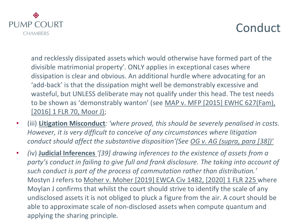

## Conduct

and recklessly dissipated assets which would otherwise have formed part of the divisible matrimonial property'. ONLY applies in exceptional cases where dissipation is clear and obvious. An additional hurdle where advocating for an 'add-back' is that the dissipation might well be demonstrably excessive and wasteful, but UNLESS deliberate may not qualify under this head. The test needs to be shown as 'demonstrably wanton' (see MAP v. MFP [2015] EWHC 627(Fam), [2016] 1 FLR 70, Moor J);

- (iii) **Litigation Misconduct***: 'where proved, this should be severely penalised in costs. However, it is very difficult to conceive of any circumstances where litigation conduct should affect the substantive disposition'(See OG v. AG (supra, para [38])'*
- *(*iv) **Judicial Inferences** *'[39] drawing inferences to the existence of assets from a party's conduct in failing to give full and frank disclosure. The taking into account of such conduct is part of the process of commutation rather than distribution.'*  Mostyn J refers to Moher v. Moher [2019] EWCA Civ 1482, [2020] 1 FLR 225 where Moylan J confirms that whilst the court should strive to identify the scale of any undisclosed assets it is not obliged to pluck a figure from the air. A court should be able to approximate scale of non-disclosed assets when compute quantum and applying the sharing principle*.*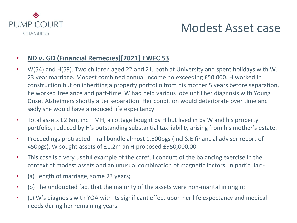

## Modest Asset case

#### • **ND v. GD (Financial Remedies)[2021] EWFC 53**

- W(54) and H(59). Two children aged 22 and 21, both at University and spent holidays with W. 23 year marriage. Modest combined annual income no exceeding £50,000. H worked in construction but on inheriting a property portfolio from his mother 5 years before separation, he worked freelance and part-time. W had held various jobs until her diagnosis with Young Onset Alzheimers shortly after separation. Her condition would deteriorate over time and sadly she would have a reduced life expectancy.
- Total assets £2.6m, incl FMH, a cottage bought by H but lived in by W and his property portfolio, reduced by H's outstanding substantial tax liability arising from his mother's estate.
- Proceedings protracted. Trail bundle almost 1,500pgs (incl SJE financial adviser report of 450pgs). W sought assets of £1.2m an H proposed £950,000.00
- This case is a very useful example of the careful conduct of the balancing exercise in the context of modest assets and an unusual combination of magnetic factors. In particular:-
- (a) Length of marriage, some 23 years;
- (b) The undoubted fact that the majority of the assets were non-marital in origin;
- (c) W's diagnosis with YOA with its significant effect upon her life expectancy and medical needs during her remaining years.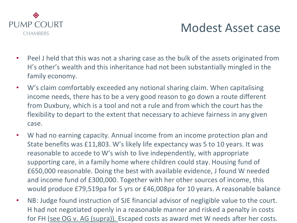

## Modest Asset case

- Peel J held that this was not a sharing case as the bulk of the assets originated from H's other's wealth and this inheritance had not been substantially mingled in the family economy.
- W's claim comfortably exceeded any notional sharing claim. When capitalising income needs, there has to be a very good reason to go down a route different from Duxbury, which is a tool and not a rule and from which the court has the flexibility to depart to the extent that necessary to achieve fairness in any given case.
- W had no earning capacity. Annual income from an income protection plan and State benefits was £11,803. W's likely life expectancy was 5 to 10 years. It was reasonable to accede to W's wish to live independently, with appropriate supporting care, in a family home where children could stay. Housing fund of £650,000 reasonable. Doing the best with available evidence, J found W needed and income fund of £300,000. Together with her other sources of income, this would produce £79,519pa for 5 yrs or £46,008pa for 10 years. A reasonable balance
- NB: Judge found instruction of SJE financial advisor of negligible value to the court. H had not negotiated openly in a reasonable manner and risked a penalty in costs for FH (see OG v. AG (supra)). Escaped costs as award met W needs after her costs.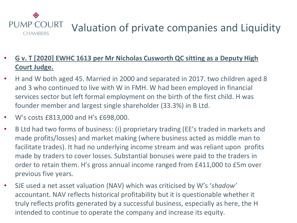

## Valuation of private companies and Liquidity

- **G v. T [2020] EWHC 1613 per Mr Nicholas Cusworth QC sitting as a Deputy High Court Judge.**
- H and W both aged 45. Married in 2000 and separated in 2017. two children aged 8 and 3 who continued to live with W in FMH. W had been employed in financial services sector but left formal employment on the birth of the first child. H was founder member and largest single shareholder (33.3%) in B Ltd.
- W's costs £813,000 and H's £698,000.
- B Ltd had two forms of business: (i) proprietary trading (EE's traded in markets and made profits/losses) and market making (where business acted as middle man to facilitate trades). It had no underlying income stream and was reliant upon profits made by traders to cover losses. Substantial bonuses were paid to the traders in order to retain them. H's gross annual income ranged from £411,000 to £5m over previous five years.
- SJE used a net asset valuation (NAV) which was criticised by W's '*shadow'* accountant. NAV reflects historical profitability but it is questionable whether it truly reflects profits generated by a successful business, especially as here, the H intended to continue to operate the company and increase its equity.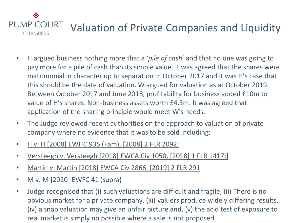#### ◈ **PUMP COURT** Valuation of Private Companies and Liquidity **CHAMBERS**

- H argued business nothing more that a '*pile of cash*' and that no one was going to pay more for a pile of cash than its simple value. It was agreed that the shares were matrimonial in character up to separation in October 2017 and it was H's case that this should be the date of valuation. W argued for valuation as at October 2019. Between October 2017 and June 2018, profitability for business added £10m to value of H's shares. Non-business assets worth £4.3m. It was agreed that application of the sharing principle would meet W's needs.
- The Judge reviewed recent authorities on the approach to valuation of private company where no evidence that it was to be sold including:
- H v. H [2008] EWHC 935 (Fam), [2008] 2 FLR 2092;
- Versteegh v. Versteegh [2018] EWCA Civ 1050, [2018] 1 FLR 1417;]
- Martin v. Martin [2018] EWCA Civ 2866, [2019] 2 FLR 291
- M v. M [2020] EWFC 41 (supra)
- Judge recognised that (i) such valuations are difficult and fragile, (ii) There is no obvious market for a private company, (iii) valuers produce widely differing results, (iv) a snap valuation may give an unfair picture and, (v) the acid test of exposure to real market is simply no possible where a sale is not proposed.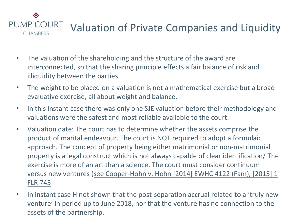#### ◈ PUMP COURT Valuation of Private Companies and Liquidity **CHAMBERS**

- The valuation of the shareholding and the structure of the award are interconnected, so that the sharing principle effects a fair balance of risk and illiquidity between the parties.
- The weight to be placed on a valuation is not a mathematical exercise but a broad evaluative exercise, all about weight and balance.
- In this instant case there was only one SJE valuation before their methodology and valuations were the safest and most reliable available to the court.
- Valuation date: The court has to determine whether the assets comprise the product of marital endeavour. The court is NOT required to adopt a formulaic approach. The concept of property being either matrimonial or non-matrimonial property is a legal construct which is not always capable of clear identification/ The exercise is more of an art than a science. The court must consider continuum versus new ventures (see Cooper-Hohn v. Hohn [2014] EWHC 4122 (Fam), [2015] 1 FLR 745
- In instant case H not shown that the post-separation accrual related to a 'truly new venture' in period up to June 2018, nor that the venture has no connection to the assets of the partnership.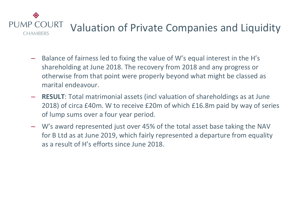

- Balance of fairness led to fixing the value of W's equal interest in the H's shareholding at June 2018. The recovery from 2018 and any progress or otherwise from that point were properly beyond what might be classed as marital endeavour.
- **RESULT**: Total matrimonial assets (incl valuation of shareholdings as at June 2018) of circa £40m. W to receive £20m of which £16.8m paid by way of series of lump sums over a four year period.
- W's award represented just over 45% of the total asset base taking the NAV for B Ltd as at June 2019, which fairly represented a departure from equality as a result of H's efforts since June 2018.